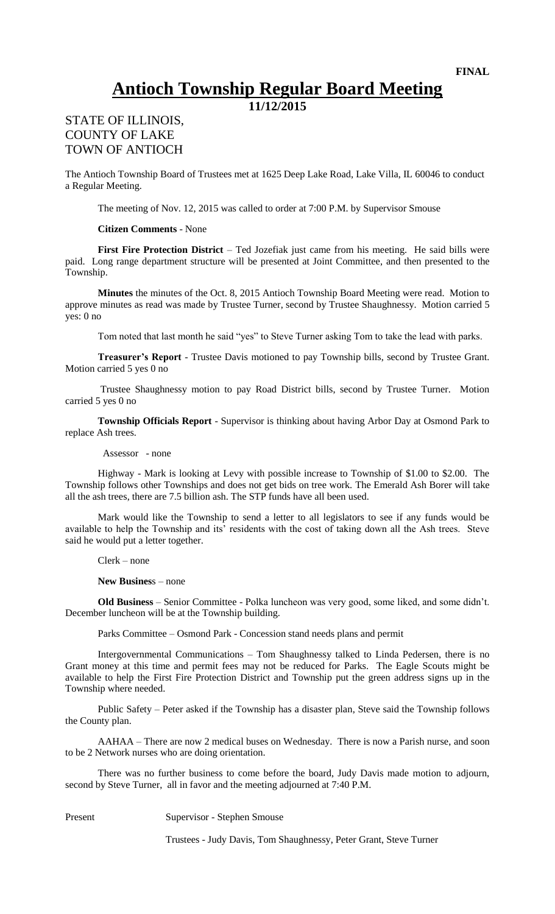## **Antioch Township Regular Board Meeting**

**11/12/2015**

## STATE OF ILLINOIS, COUNTY OF LAKE TOWN OF ANTIOCH

The Antioch Township Board of Trustees met at 1625 Deep Lake Road, Lake Villa, IL 60046 to conduct a Regular Meeting.

The meeting of Nov. 12, 2015 was called to order at 7:00 P.M. by Supervisor Smouse

## **Citizen Comments** - None

**First Fire Protection District** – Ted Jozefiak just came from his meeting. He said bills were paid. Long range department structure will be presented at Joint Committee, and then presented to the Township.

**Minutes** the minutes of the Oct. 8, 2015 Antioch Township Board Meeting were read. Motion to approve minutes as read was made by Trustee Turner, second by Trustee Shaughnessy. Motion carried 5 yes: 0 no

Tom noted that last month he said "yes" to Steve Turner asking Tom to take the lead with parks.

**Treasurer's Report** - Trustee Davis motioned to pay Township bills, second by Trustee Grant. Motion carried 5 yes 0 no

Trustee Shaughnessy motion to pay Road District bills, second by Trustee Turner. Motion carried 5 yes 0 no

**Township Officials Report** - Supervisor is thinking about having Arbor Day at Osmond Park to replace Ash trees.

Assessor - none

Highway - Mark is looking at Levy with possible increase to Township of \$1.00 to \$2.00. The Township follows other Townships and does not get bids on tree work. The Emerald Ash Borer will take all the ash trees, there are 7.5 billion ash. The STP funds have all been used.

Mark would like the Township to send a letter to all legislators to see if any funds would be available to help the Township and its' residents with the cost of taking down all the Ash trees. Steve said he would put a letter together.

Clerk – none

**New Busines**s – none

**Old Business** – Senior Committee - Polka luncheon was very good, some liked, and some didn't. December luncheon will be at the Township building.

Parks Committee – Osmond Park - Concession stand needs plans and permit

Intergovernmental Communications – Tom Shaughnessy talked to Linda Pedersen, there is no Grant money at this time and permit fees may not be reduced for Parks. The Eagle Scouts might be available to help the First Fire Protection District and Township put the green address signs up in the Township where needed.

Public Safety – Peter asked if the Township has a disaster plan, Steve said the Township follows the County plan.

AAHAA – There are now 2 medical buses on Wednesday. There is now a Parish nurse, and soon to be 2 Network nurses who are doing orientation.

There was no further business to come before the board, Judy Davis made motion to adjourn, second by Steve Turner, all in favor and the meeting adjourned at 7:40 P.M.

Present Supervisor - Stephen Smouse

Trustees - Judy Davis, Tom Shaughnessy, Peter Grant, Steve Turner